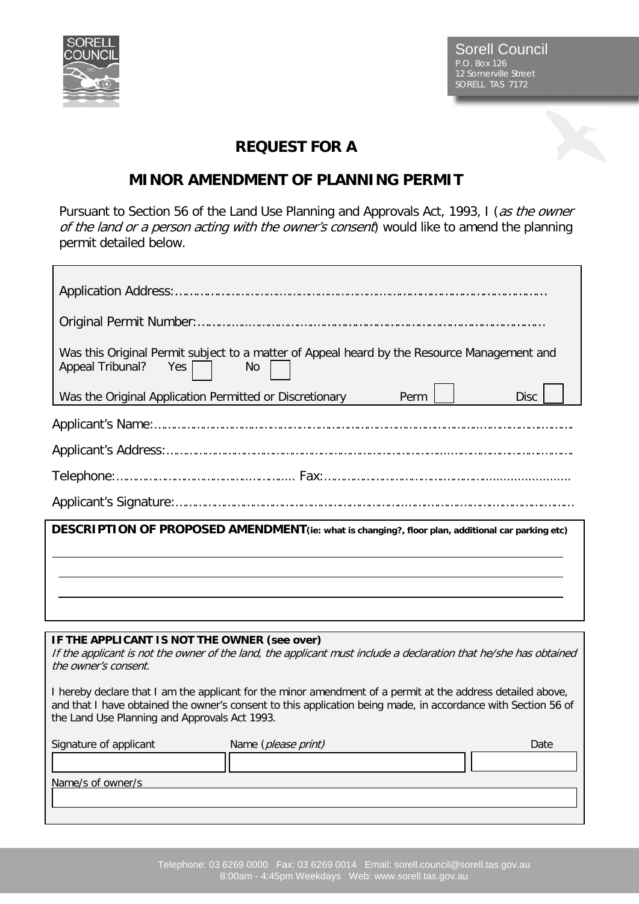

Sorell Council P.O. Box 126 12 Somerville Street SORELL TAS 7172

## **REQUEST FOR A**

## **MINOR AMENDMENT OF PLANNING PERMIT**

Pursuant to Section 56 of the Land Use Planning and Approvals Act, 1993, I (as the owner of the land or a person acting with the owner's consent) would like to amend the planning permit detailed below.

| Was this Original Permit subject to a matter of Appeal heard by the Resource Management and<br>Appeal Tribunal?<br>Yes<br><b>No</b>                                                                                                                                           |  |  |  |
|-------------------------------------------------------------------------------------------------------------------------------------------------------------------------------------------------------------------------------------------------------------------------------|--|--|--|
| Was the Original Application Permitted or Discretionary<br>Perm<br><b>Disc</b>                                                                                                                                                                                                |  |  |  |
|                                                                                                                                                                                                                                                                               |  |  |  |
|                                                                                                                                                                                                                                                                               |  |  |  |
|                                                                                                                                                                                                                                                                               |  |  |  |
|                                                                                                                                                                                                                                                                               |  |  |  |
| DESCRIPTION OF PROPOSED AMENDMENT(ie: what is changing?, floor plan, additional car parking etc)                                                                                                                                                                              |  |  |  |
|                                                                                                                                                                                                                                                                               |  |  |  |
|                                                                                                                                                                                                                                                                               |  |  |  |
|                                                                                                                                                                                                                                                                               |  |  |  |
|                                                                                                                                                                                                                                                                               |  |  |  |
| IF THE APPLICANT IS NOT THE OWNER (see over)<br>If the applicant is not the owner of the land, the applicant must include a declaration that he/she has obtained<br>the owner's consent.                                                                                      |  |  |  |
| I hereby declare that I am the applicant for the minor amendment of a permit at the address detailed above,<br>and that I have obtained the owner's consent to this application being made, in accordance with Section 56 of<br>the Land Use Planning and Approvals Act 1993. |  |  |  |

| Signature of applicant | Name (please print) | Date |
|------------------------|---------------------|------|
|                        |                     |      |
| Name/s of owner/s      |                     |      |
|                        |                     |      |
|                        |                     |      |